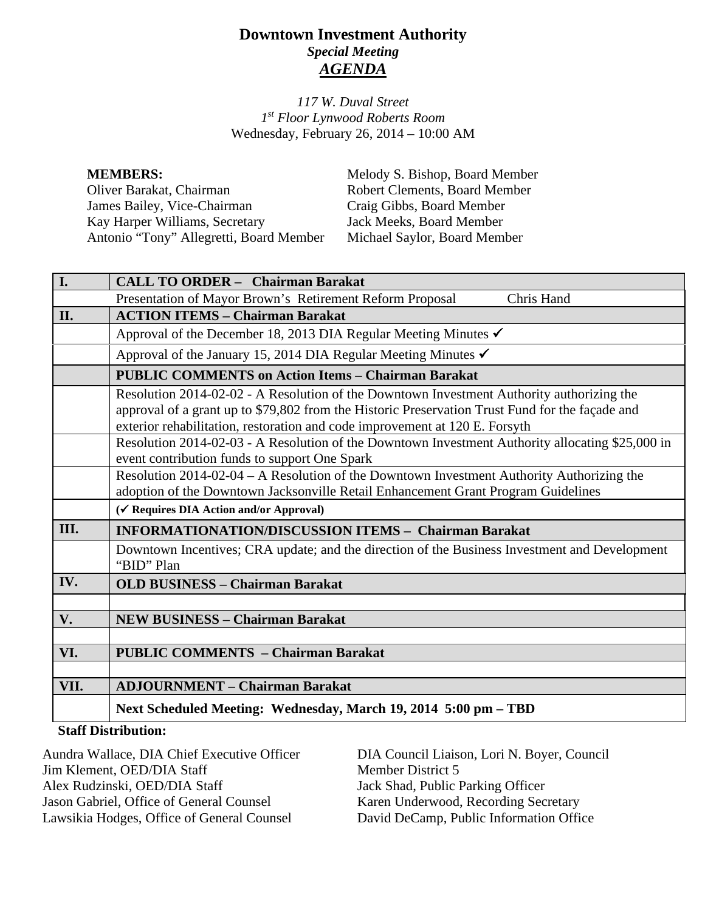# **Downtown Investment Authority** *Special Meeting AGENDA*

*117 W. Duval Street 1st Floor Lynwood Roberts Room* Wednesday, February 26, 2014 – 10:00 AM

| <b>MEMBERS:</b>                         | Melody S. Bishop, Board Member       |
|-----------------------------------------|--------------------------------------|
| Oliver Barakat, Chairman                | <b>Robert Clements, Board Member</b> |
| James Bailey, Vice-Chairman             | Craig Gibbs, Board Member            |
| Kay Harper Williams, Secretary          | Jack Meeks, Board Member             |
| Antonio "Tony" Allegretti, Board Member | Michael Saylor, Board Member         |

| I.   | <b>CALL TO ORDER - Chairman Barakat</b>                                                                                                                                                                                                                                                                                              |  |
|------|--------------------------------------------------------------------------------------------------------------------------------------------------------------------------------------------------------------------------------------------------------------------------------------------------------------------------------------|--|
|      | Presentation of Mayor Brown's Retirement Reform Proposal<br>Chris Hand                                                                                                                                                                                                                                                               |  |
| II.  | <b>ACTION ITEMS - Chairman Barakat</b>                                                                                                                                                                                                                                                                                               |  |
|      | Approval of the December 18, 2013 DIA Regular Meeting Minutes √                                                                                                                                                                                                                                                                      |  |
|      | Approval of the January 15, 2014 DIA Regular Meeting Minutes $\checkmark$                                                                                                                                                                                                                                                            |  |
|      | <b>PUBLIC COMMENTS on Action Items - Chairman Barakat</b>                                                                                                                                                                                                                                                                            |  |
|      | Resolution 2014-02-02 - A Resolution of the Downtown Investment Authority authorizing the<br>approval of a grant up to \$79,802 from the Historic Preservation Trust Fund for the façade and<br>exterior rehabilitation, restoration and code improvement at 120 E. Forsyth                                                          |  |
|      | Resolution 2014-02-03 - A Resolution of the Downtown Investment Authority allocating \$25,000 in<br>event contribution funds to support One Spark                                                                                                                                                                                    |  |
|      | Resolution 2014-02-04 – A Resolution of the Downtown Investment Authority Authorizing the<br>adoption of the Downtown Jacksonville Retail Enhancement Grant Program Guidelines                                                                                                                                                       |  |
|      | (√ Requires DIA Action and/or Approval)                                                                                                                                                                                                                                                                                              |  |
| III. | <b>INFORMATIONATION/DISCUSSION ITEMS - Chairman Barakat</b>                                                                                                                                                                                                                                                                          |  |
|      | Downtown Incentives; CRA update; and the direction of the Business Investment and Development<br>"BID" Plan                                                                                                                                                                                                                          |  |
| IV.  | <b>OLD BUSINESS - Chairman Barakat</b>                                                                                                                                                                                                                                                                                               |  |
|      |                                                                                                                                                                                                                                                                                                                                      |  |
| V.   | <b>NEW BUSINESS - Chairman Barakat</b>                                                                                                                                                                                                                                                                                               |  |
|      |                                                                                                                                                                                                                                                                                                                                      |  |
| VI.  | <b>PUBLIC COMMENTS - Chairman Barakat</b>                                                                                                                                                                                                                                                                                            |  |
|      |                                                                                                                                                                                                                                                                                                                                      |  |
| VII. | <b>ADJOURNMENT - Chairman Barakat</b>                                                                                                                                                                                                                                                                                                |  |
|      | Next Scheduled Meeting: Wednesday, March 19, 2014 5:00 pm - TBD                                                                                                                                                                                                                                                                      |  |
|      | $\mathbb{C}$ <i>i</i> $\mathbf{f}$ $\mathbf{f}$ $\mathbf{f}$ $\mathbf{f}$ $\mathbf{f}$ $\mathbf{f}$ $\mathbf{f}$ $\mathbf{f}$ $\mathbf{f}$ $\mathbf{f}$ $\mathbf{f}$ $\mathbf{f}$ $\mathbf{f}$ $\mathbf{f}$ $\mathbf{f}$ $\mathbf{f}$ $\mathbf{f}$ $\mathbf{f}$ $\mathbf{f}$ $\mathbf{f}$ $\mathbf{f}$ $\mathbf{f}$ $\mathbf{f}$ $\$ |  |

### **Staff Distribution:**

Aundra Wallace, DIA Chief Executive Officer Jim Klement, OED/DIA Staff Alex Rudzinski, OED/DIA Staff Jason Gabriel, Office of General Counsel Lawsikia Hodges, Office of General Counsel

DIA Council Liaison, Lori N. Boyer, Council Member District 5 Jack Shad, Public Parking Officer Karen Underwood, Recording Secretary David DeCamp, Public Information Office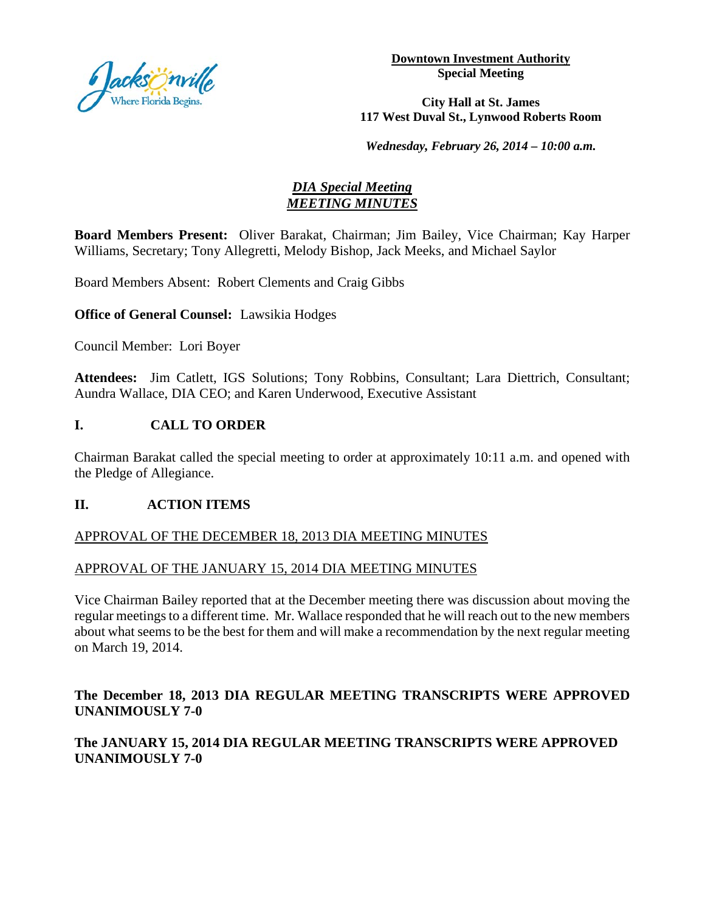

**Downtown Investment Authority Special Meeting** 

#### **City Hall at St. James 117 West Duval St., Lynwood Roberts Room**

*Wednesday, February 26, 2014 – 10:00 a.m.*

## *DIA Special Meeting MEETING MINUTES*

**Board Members Present:** Oliver Barakat, Chairman; Jim Bailey, Vice Chairman; Kay Harper Williams, Secretary; Tony Allegretti, Melody Bishop, Jack Meeks, and Michael Saylor

Board Members Absent: Robert Clements and Craig Gibbs

**Office of General Counsel:** Lawsikia Hodges

Council Member: Lori Boyer

**Attendees:** Jim Catlett, IGS Solutions; Tony Robbins, Consultant; Lara Diettrich, Consultant; Aundra Wallace, DIA CEO; and Karen Underwood, Executive Assistant

## **I. CALL TO ORDER**

Chairman Barakat called the special meeting to order at approximately 10:11 a.m. and opened with the Pledge of Allegiance.

### **II. ACTION ITEMS**

### APPROVAL OF THE DECEMBER 18, 2013 DIA MEETING MINUTES

### APPROVAL OF THE JANUARY 15, 2014 DIA MEETING MINUTES

Vice Chairman Bailey reported that at the December meeting there was discussion about moving the regular meetings to a different time. Mr. Wallace responded that he will reach out to the new members about what seems to be the best for them and will make a recommendation by the next regular meeting on March 19, 2014.

# **The December 18, 2013 DIA REGULAR MEETING TRANSCRIPTS WERE APPROVED UNANIMOUSLY 7-0**

## **The JANUARY 15, 2014 DIA REGULAR MEETING TRANSCRIPTS WERE APPROVED UNANIMOUSLY 7-0**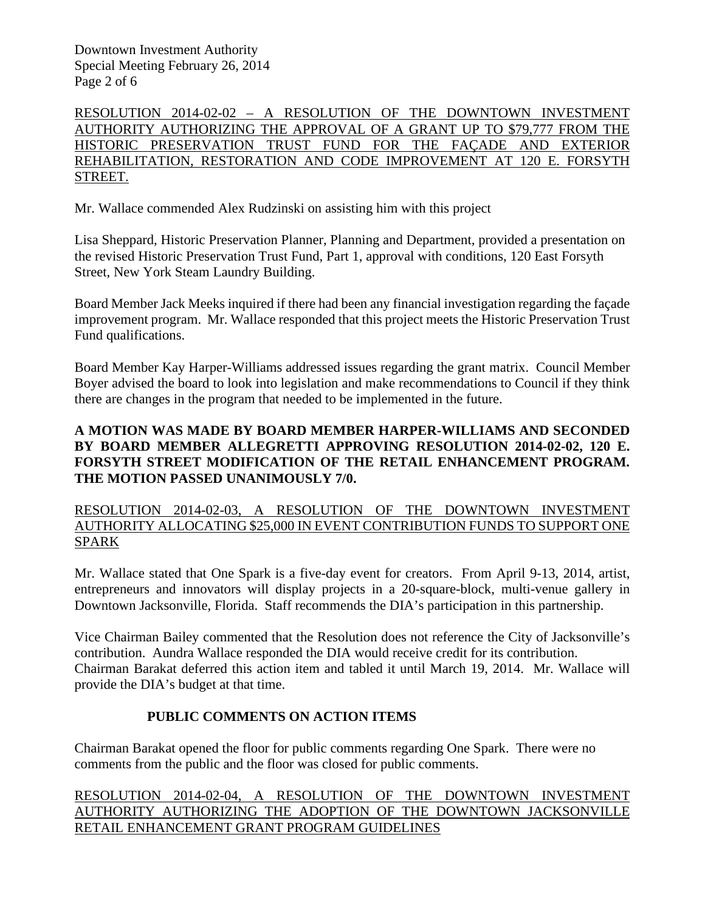Downtown Investment Authority Special Meeting February 26, 2014 Page 2 of 6

RESOLUTION 2014-02-02 – A RESOLUTION OF THE DOWNTOWN INVESTMENT AUTHORITY AUTHORIZING THE APPROVAL OF A GRANT UP TO \$79,777 FROM THE HISTORIC PRESERVATION TRUST FUND FOR THE FAÇADE AND EXTERIOR REHABILITATION, RESTORATION AND CODE IMPROVEMENT AT 120 E. FORSYTH STREET.

Mr. Wallace commended Alex Rudzinski on assisting him with this project

Lisa Sheppard, Historic Preservation Planner, Planning and Department, provided a presentation on the revised Historic Preservation Trust Fund, Part 1, approval with conditions, 120 East Forsyth Street, New York Steam Laundry Building.

Board Member Jack Meeks inquired if there had been any financial investigation regarding the façade improvement program. Mr. Wallace responded that this project meets the Historic Preservation Trust Fund qualifications.

Board Member Kay Harper-Williams addressed issues regarding the grant matrix. Council Member Boyer advised the board to look into legislation and make recommendations to Council if they think there are changes in the program that needed to be implemented in the future.

## **A MOTION WAS MADE BY BOARD MEMBER HARPER-WILLIAMS AND SECONDED BY BOARD MEMBER ALLEGRETTI APPROVING RESOLUTION 2014-02-02, 120 E. FORSYTH STREET MODIFICATION OF THE RETAIL ENHANCEMENT PROGRAM. THE MOTION PASSED UNANIMOUSLY 7/0.**

RESOLUTION 2014-02-03, A RESOLUTION OF THE DOWNTOWN INVESTMENT AUTHORITY ALLOCATING \$25,000 IN EVENT CONTRIBUTION FUNDS TO SUPPORT ONE SPARK

Mr. Wallace stated that One Spark is a five-day event for creators. From April 9-13, 2014, artist, entrepreneurs and innovators will display projects in a 20-square-block, multi-venue gallery in Downtown Jacksonville, Florida. Staff recommends the DIA's participation in this partnership.

Vice Chairman Bailey commented that the Resolution does not reference the City of Jacksonville's contribution. Aundra Wallace responded the DIA would receive credit for its contribution. Chairman Barakat deferred this action item and tabled it until March 19, 2014. Mr. Wallace will provide the DIA's budget at that time.

## **PUBLIC COMMENTS ON ACTION ITEMS**

Chairman Barakat opened the floor for public comments regarding One Spark. There were no comments from the public and the floor was closed for public comments.

RESOLUTION 2014-02-04, A RESOLUTION OF THE DOWNTOWN INVESTMENT AUTHORITY AUTHORIZING THE ADOPTION OF THE DOWNTOWN JACKSONVILLE RETAIL ENHANCEMENT GRANT PROGRAM GUIDELINES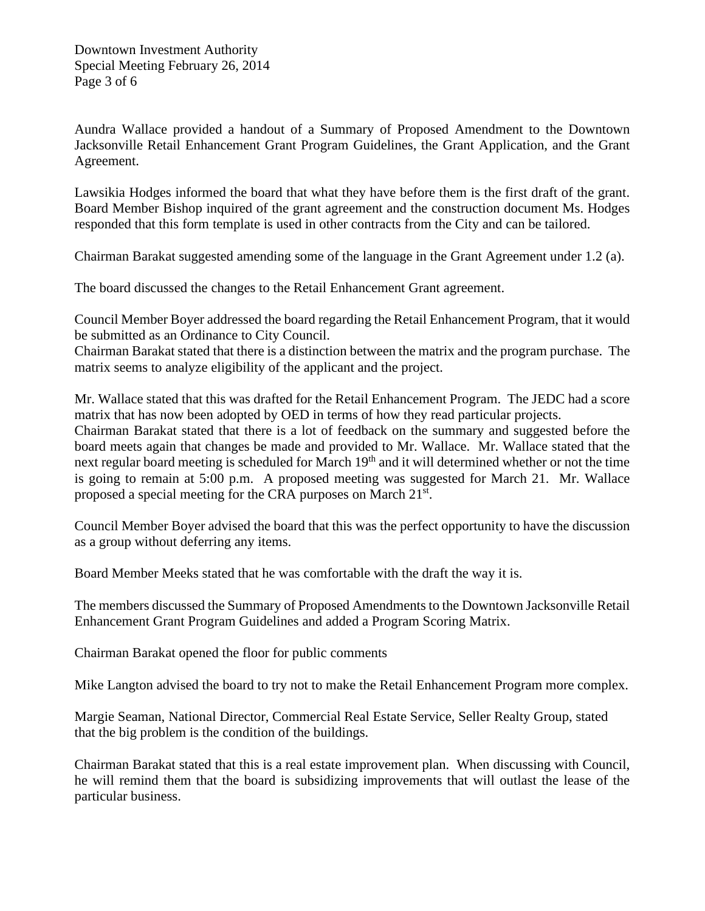Aundra Wallace provided a handout of a Summary of Proposed Amendment to the Downtown Jacksonville Retail Enhancement Grant Program Guidelines, the Grant Application, and the Grant Agreement.

Lawsikia Hodges informed the board that what they have before them is the first draft of the grant. Board Member Bishop inquired of the grant agreement and the construction document Ms. Hodges responded that this form template is used in other contracts from the City and can be tailored.

Chairman Barakat suggested amending some of the language in the Grant Agreement under 1.2 (a).

The board discussed the changes to the Retail Enhancement Grant agreement.

Council Member Boyer addressed the board regarding the Retail Enhancement Program, that it would be submitted as an Ordinance to City Council.

Chairman Barakat stated that there is a distinction between the matrix and the program purchase. The matrix seems to analyze eligibility of the applicant and the project.

Mr. Wallace stated that this was drafted for the Retail Enhancement Program. The JEDC had a score matrix that has now been adopted by OED in terms of how they read particular projects. Chairman Barakat stated that there is a lot of feedback on the summary and suggested before the board meets again that changes be made and provided to Mr. Wallace. Mr. Wallace stated that the next regular board meeting is scheduled for March 19<sup>th</sup> and it will determined whether or not the time

is going to remain at 5:00 p.m. A proposed meeting was suggested for March 21. Mr. Wallace proposed a special meeting for the CRA purposes on March 21<sup>st</sup>.

Council Member Boyer advised the board that this was the perfect opportunity to have the discussion as a group without deferring any items.

Board Member Meeks stated that he was comfortable with the draft the way it is.

The members discussed the Summary of Proposed Amendments to the Downtown Jacksonville Retail Enhancement Grant Program Guidelines and added a Program Scoring Matrix.

Chairman Barakat opened the floor for public comments

Mike Langton advised the board to try not to make the Retail Enhancement Program more complex.

Margie Seaman, National Director, Commercial Real Estate Service, Seller Realty Group, stated that the big problem is the condition of the buildings.

Chairman Barakat stated that this is a real estate improvement plan. When discussing with Council, he will remind them that the board is subsidizing improvements that will outlast the lease of the particular business.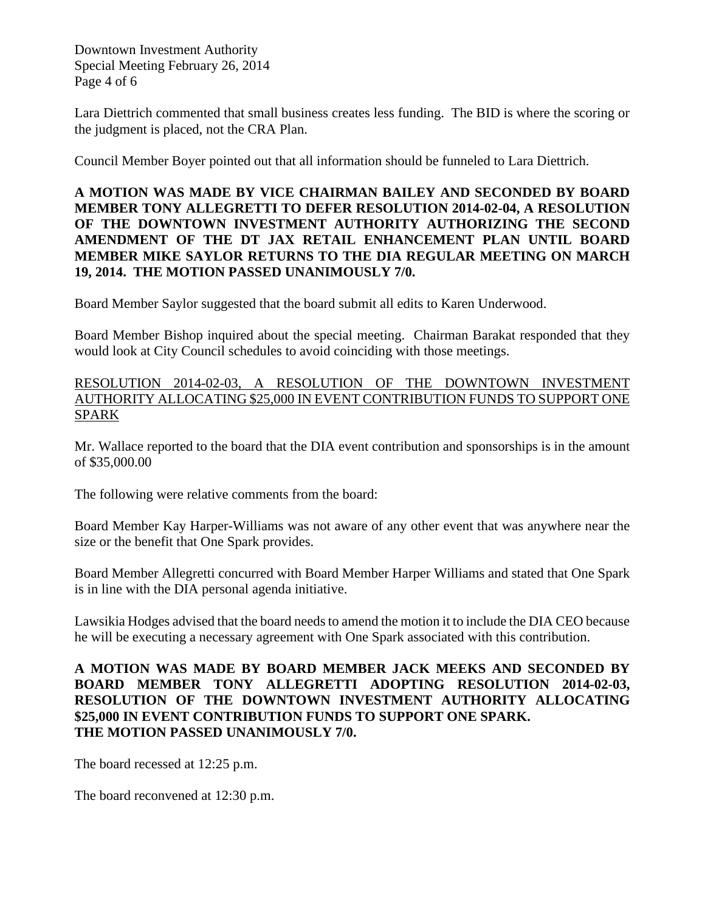Downtown Investment Authority Special Meeting February 26, 2014 Page 4 of 6

Lara Diettrich commented that small business creates less funding. The BID is where the scoring or the judgment is placed, not the CRA Plan.

Council Member Boyer pointed out that all information should be funneled to Lara Diettrich.

**A MOTION WAS MADE BY VICE CHAIRMAN BAILEY AND SECONDED BY BOARD MEMBER TONY ALLEGRETTI TO DEFER RESOLUTION 2014-02-04, A RESOLUTION OF THE DOWNTOWN INVESTMENT AUTHORITY AUTHORIZING THE SECOND AMENDMENT OF THE DT JAX RETAIL ENHANCEMENT PLAN UNTIL BOARD MEMBER MIKE SAYLOR RETURNS TO THE DIA REGULAR MEETING ON MARCH 19, 2014. THE MOTION PASSED UNANIMOUSLY 7/0.**

Board Member Saylor suggested that the board submit all edits to Karen Underwood.

Board Member Bishop inquired about the special meeting. Chairman Barakat responded that they would look at City Council schedules to avoid coinciding with those meetings.

## RESOLUTION 2014-02-03, A RESOLUTION OF THE DOWNTOWN INVESTMENT AUTHORITY ALLOCATING \$25,000 IN EVENT CONTRIBUTION FUNDS TO SUPPORT ONE SPARK

Mr. Wallace reported to the board that the DIA event contribution and sponsorships is in the amount of \$35,000.00

The following were relative comments from the board:

Board Member Kay Harper-Williams was not aware of any other event that was anywhere near the size or the benefit that One Spark provides.

Board Member Allegretti concurred with Board Member Harper Williams and stated that One Spark is in line with the DIA personal agenda initiative.

Lawsikia Hodges advised that the board needs to amend the motion it to include the DIA CEO because he will be executing a necessary agreement with One Spark associated with this contribution.

## **A MOTION WAS MADE BY BOARD MEMBER JACK MEEKS AND SECONDED BY BOARD MEMBER TONY ALLEGRETTI ADOPTING RESOLUTION 2014-02-03, RESOLUTION OF THE DOWNTOWN INVESTMENT AUTHORITY ALLOCATING \$25,000 IN EVENT CONTRIBUTION FUNDS TO SUPPORT ONE SPARK. THE MOTION PASSED UNANIMOUSLY 7/0.**

The board recessed at 12:25 p.m.

The board reconvened at 12:30 p.m.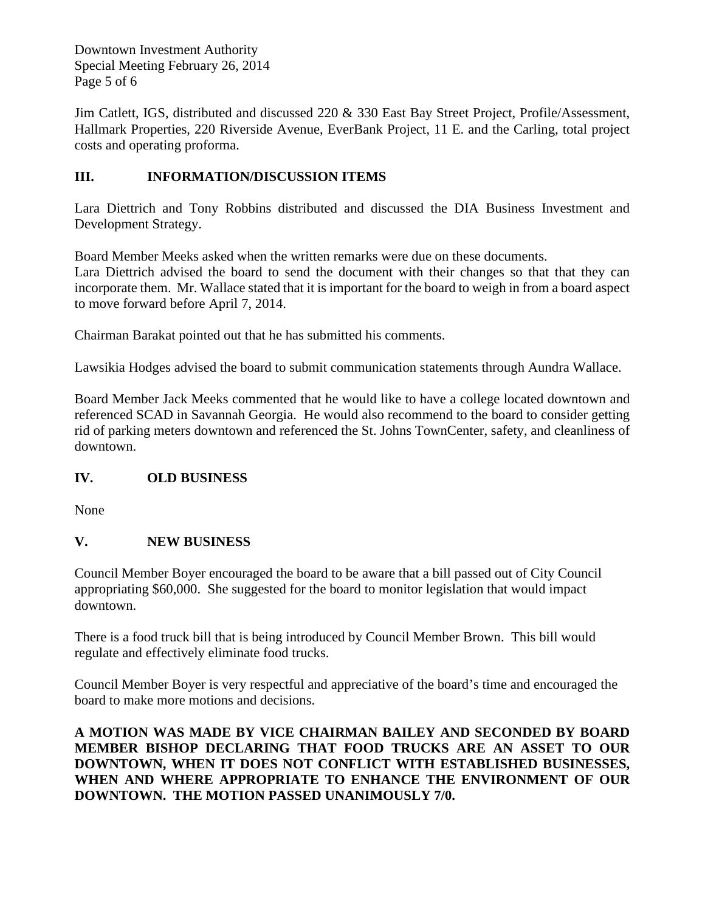Downtown Investment Authority Special Meeting February 26, 2014 Page 5 of 6

Jim Catlett, IGS, distributed and discussed 220 & 330 East Bay Street Project, Profile/Assessment, Hallmark Properties, 220 Riverside Avenue, EverBank Project, 11 E. and the Carling, total project costs and operating proforma.

# **III. INFORMATION/DISCUSSION ITEMS**

Lara Diettrich and Tony Robbins distributed and discussed the DIA Business Investment and Development Strategy.

Board Member Meeks asked when the written remarks were due on these documents. Lara Diettrich advised the board to send the document with their changes so that that they can incorporate them. Mr. Wallace stated that it is important for the board to weigh in from a board aspect to move forward before April 7, 2014.

Chairman Barakat pointed out that he has submitted his comments.

Lawsikia Hodges advised the board to submit communication statements through Aundra Wallace.

Board Member Jack Meeks commented that he would like to have a college located downtown and referenced SCAD in Savannah Georgia. He would also recommend to the board to consider getting rid of parking meters downtown and referenced the St. Johns TownCenter, safety, and cleanliness of downtown.

## **IV. OLD BUSINESS**

None

# **V. NEW BUSINESS**

Council Member Boyer encouraged the board to be aware that a bill passed out of City Council appropriating \$60,000. She suggested for the board to monitor legislation that would impact downtown.

There is a food truck bill that is being introduced by Council Member Brown. This bill would regulate and effectively eliminate food trucks.

Council Member Boyer is very respectful and appreciative of the board's time and encouraged the board to make more motions and decisions.

**A MOTION WAS MADE BY VICE CHAIRMAN BAILEY AND SECONDED BY BOARD MEMBER BISHOP DECLARING THAT FOOD TRUCKS ARE AN ASSET TO OUR DOWNTOWN, WHEN IT DOES NOT CONFLICT WITH ESTABLISHED BUSINESSES, WHEN AND WHERE APPROPRIATE TO ENHANCE THE ENVIRONMENT OF OUR DOWNTOWN. THE MOTION PASSED UNANIMOUSLY 7/0.**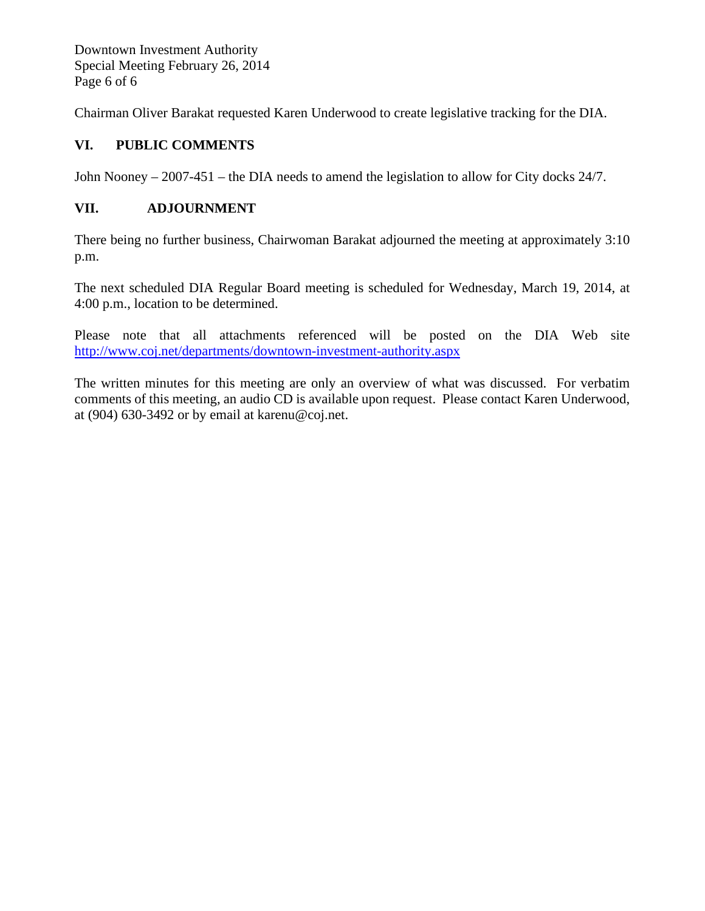Downtown Investment Authority Special Meeting February 26, 2014 Page 6 of 6

Chairman Oliver Barakat requested Karen Underwood to create legislative tracking for the DIA.

# **VI. PUBLIC COMMENTS**

John Nooney – 2007-451 – the DIA needs to amend the legislation to allow for City docks 24/7.

## **VII. ADJOURNMENT**

There being no further business, Chairwoman Barakat adjourned the meeting at approximately 3:10 p.m.

The next scheduled DIA Regular Board meeting is scheduled for Wednesday, March 19, 2014, at 4:00 p.m., location to be determined.

Please note that all attachments referenced will be posted on the DIA Web site <http://www.coj.net/departments/downtown-investment-authority.aspx>

The written minutes for this meeting are only an overview of what was discussed. For verbatim comments of this meeting, an audio CD is available upon request. Please contact Karen Underwood, at (904) 630-3492 or by email at karenu@coj.net.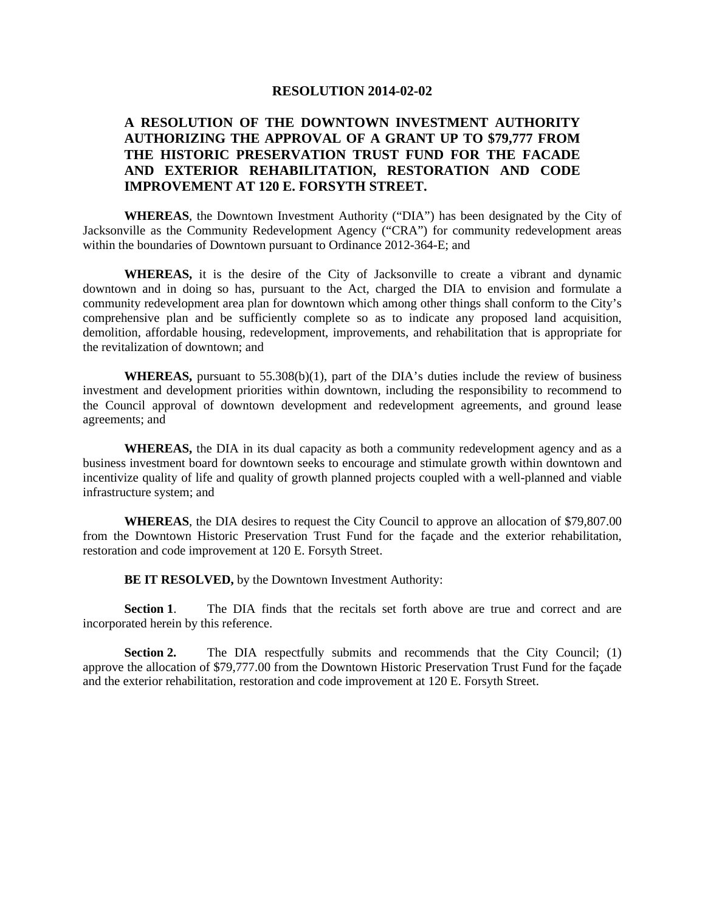#### **RESOLUTION 2014-02-02**

### **A RESOLUTION OF THE DOWNTOWN INVESTMENT AUTHORITY AUTHORIZING THE APPROVAL OF A GRANT UP TO \$79,777 FROM THE HISTORIC PRESERVATION TRUST FUND FOR THE FACADE AND EXTERIOR REHABILITATION, RESTORATION AND CODE IMPROVEMENT AT 120 E. FORSYTH STREET.**

**WHEREAS**, the Downtown Investment Authority ("DIA") has been designated by the City of Jacksonville as the Community Redevelopment Agency ("CRA") for community redevelopment areas within the boundaries of Downtown pursuant to Ordinance 2012-364-E; and

**WHEREAS,** it is the desire of the City of Jacksonville to create a vibrant and dynamic downtown and in doing so has, pursuant to the Act, charged the DIA to envision and formulate a community redevelopment area plan for downtown which among other things shall conform to the City's comprehensive plan and be sufficiently complete so as to indicate any proposed land acquisition, demolition, affordable housing, redevelopment, improvements, and rehabilitation that is appropriate for the revitalization of downtown; and

**WHEREAS,** pursuant to 55.308(b)(1), part of the DIA's duties include the review of business investment and development priorities within downtown, including the responsibility to recommend to the Council approval of downtown development and redevelopment agreements, and ground lease agreements; and

**WHEREAS,** the DIA in its dual capacity as both a community redevelopment agency and as a business investment board for downtown seeks to encourage and stimulate growth within downtown and incentivize quality of life and quality of growth planned projects coupled with a well-planned and viable infrastructure system; and

**WHEREAS**, the DIA desires to request the City Council to approve an allocation of \$79,807.00 from the Downtown Historic Preservation Trust Fund for the façade and the exterior rehabilitation, restoration and code improvement at 120 E. Forsyth Street.

**BE IT RESOLVED,** by the Downtown Investment Authority:

**Section 1.** The DIA finds that the recitals set forth above are true and correct and are incorporated herein by this reference.

**Section 2.** The DIA respectfully submits and recommends that the City Council; (1) approve the allocation of \$79,777.00 from the Downtown Historic Preservation Trust Fund for the façade and the exterior rehabilitation, restoration and code improvement at 120 E. Forsyth Street.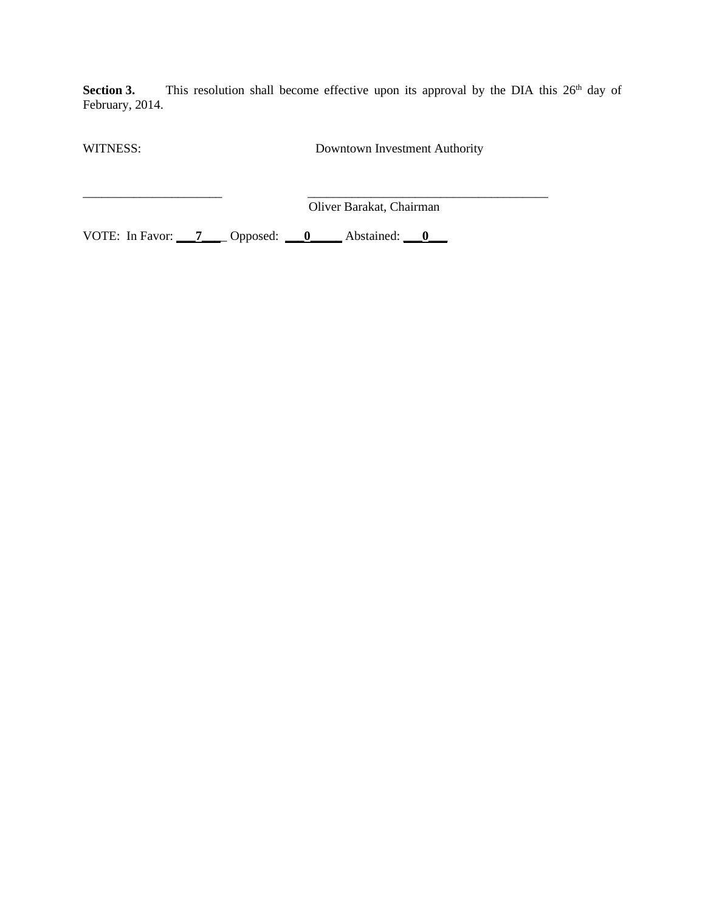**Section 3.** This resolution shall become effective upon its approval by the DIA this 26<sup>th</sup> day of February, 2014.

WITNESS: Downtown Investment Authority

\_\_\_\_\_\_\_\_\_\_\_\_\_\_\_\_\_\_\_\_\_\_ \_\_\_\_\_\_\_\_\_\_\_\_\_\_\_\_\_\_\_\_\_\_\_\_\_\_\_\_\_\_\_\_\_\_\_\_\_\_ Oliver Barakat, Chairman

VOTE: In Favor: **\_\_\_7\_\_\_**\_ Opposed: **\_\_\_0\_\_\_\_\_** Abstained: **\_\_\_0\_\_\_**